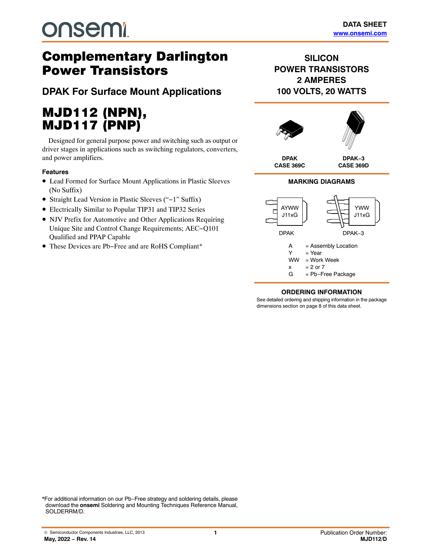# **onsemi**

## Complementary Darlington Power Transistors

**DPAK For Surface Mount Applications**

# MJD112 (NPN),

MJD117 (PNP) Designed for general purpose power and switching such as output or driver stages in applications such as switching regulators, converters, and power amplifiers.

#### **Features**

- Lead Formed for Surface Mount Applications in Plastic Sleeves (No Suffix)
- Straight Lead Version in Plastic Sleeves ("−1" Suffix)
- Electrically Similar to Popular TIP31 and TIP32 Series
- NJV Prefix for Automotive and Other Applications Requiring Unique Site and Control Change Requirements; AEC−Q101 Qualified and PPAP Capable
- These Devices are Pb−Free and are RoHS Compliant\*

### **SILICON POWER TRANSISTORS 2 AMPERES 100 VOLTS, 20 WATTS**



#### **MARKING DIAGRAMS**



#### **ORDERING INFORMATION**

See detailed ordering and shipping information in the package dimensions section on page [8](#page-7-0) of this data sheet.

\*For additional information on our Pb−Free strategy and soldering details, please download the **onsemi** Soldering and Mounting Techniques Reference Manual, SOLDERRM/D.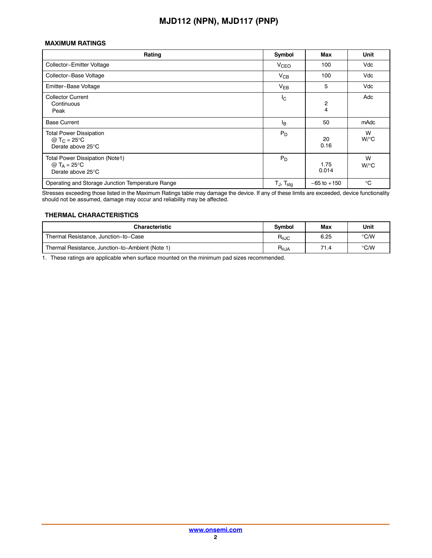#### **MAXIMUM RATINGS**

| Rating                                                                               | Symbol                   | <b>Max</b>          | Unit                 |
|--------------------------------------------------------------------------------------|--------------------------|---------------------|----------------------|
| Collector-Emitter Voltage                                                            | <b>V<sub>CEO</sub></b>   | 100                 | Vdc                  |
| Collector-Base Voltage                                                               | $V_{CB}$                 | 100                 | Vdc                  |
| Emitter-Base Voltage                                                                 | $V_{EB}$                 | 5                   | Vdc                  |
| <b>Collector Current</b><br>Continuous<br>Peak                                       | l <sub>C</sub>           | $\overline{c}$<br>4 | Adc                  |
| <b>Base Current</b>                                                                  | l <sub>B</sub>           | 50                  | mAdc                 |
| <b>Total Power Dissipation</b><br>@ T <sub>C</sub> = 25 °C<br>Derate above 25°C      | $P_D$                    | 20<br>0.16          | W<br>$W$ /°C         |
| <b>Total Power Dissipation (Note1)</b><br>@ $T_A = 25^{\circ}C$<br>Derate above 25°C | $P_D$                    | 1.75<br>0.014       | W<br>$W$ / $\circ$ C |
| Operating and Storage Junction Temperature Range                                     | $T_J$ , $T_{\text{stg}}$ | $-65$ to $+150$     | $^{\circ}$ C         |

Stresses exceeding those listed in the Maximum Ratings table may damage the device. If any of these limits are exceeded, device functionality should not be assumed, damage may occur and reliability may be affected.

#### **THERMAL CHARACTERISTICS**

| <b>Characteristic</b>                            |                        | Max  | Unit          |
|--------------------------------------------------|------------------------|------|---------------|
| Thermal Resistance, Junction-to-Case             | $R_{\theta \text{JC}}$ | 6.25 | $\degree$ C/W |
| Thermal Resistance, Junction-to-Ambient (Note 1) | $R_{\theta$ JA         | 71.4 | $\degree$ C/W |

1. These ratings are applicable when surface mounted on the minimum pad sizes recommended.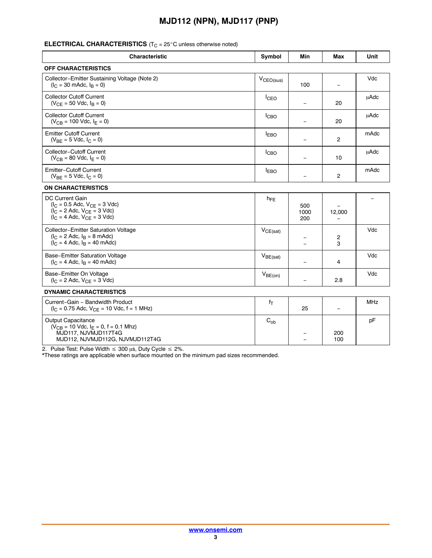#### ÊÎ ÊÎ ÎÎÎÎÎÎ AL TERNEZIE ERIN LITÎN AL TILVI ANARA ANARANAA AANARÎ C unless otherwise noted)

| <b>Characteristic</b>                                                                                                             | Symbol           | Min                                                  | Max                            | Unit       |
|-----------------------------------------------------------------------------------------------------------------------------------|------------------|------------------------------------------------------|--------------------------------|------------|
| <b>OFF CHARACTERISTICS</b>                                                                                                        |                  |                                                      |                                |            |
| Collector-Emitter Sustaining Voltage (Note 2)<br>$(l_C = 30 \text{ m}$ Adc, $l_B = 0$ )                                           | $V_{CEO(sus)}$   | 100                                                  | $\equiv$                       | Vdc        |
| <b>Collector Cutoff Current</b><br>$(V_{CE} = 50$ Vdc, $I_B = 0$ )                                                                | I <sub>CEO</sub> | $\overline{\phantom{a}}$                             | 20                             | μAdc       |
| <b>Collector Cutoff Current</b><br>$(V_{CB} = 100$ Vdc, $I_E = 0$ )                                                               | ICBO             | $\overline{\phantom{0}}$                             | 20                             | uAdc       |
| <b>Emitter Cutoff Current</b><br>$(V_{BE} = 5$ Vdc, $I_C = 0$ )                                                                   | $I_{EBO}$        | $\overline{\phantom{0}}$                             | $\overline{c}$                 | mAdc       |
| <b>Collector-Cutoff Current</b><br>$(V_{CB} = 80$ Vdc, $I_E = 0)$                                                                 | I <sub>CBO</sub> | $\equiv$                                             | 10                             | uAdc       |
| <b>Emitter-Cutoff Current</b><br>$(V_{BE} = 5$ Vdc, $I_C = 0$ )                                                                   | <b>IEBO</b>      | $\equiv$                                             | $\overline{2}$                 | mAdc       |
| <b>ON CHARACTERISTICS</b>                                                                                                         |                  |                                                      |                                |            |
| DC Current Gain<br>$(I_C = 0.5$ Adc, $V_{CE} = 3$ Vdc)<br>$(I_C = 2$ Adc, $V_{CE} = 3$ Vdc)<br>$(I_C = 4$ Adc, $V_{CE} = 3$ Vdc)  | $h_{FE}$         | 500<br>1000<br>200                                   | $\equiv$<br>12,000<br>$\equiv$ |            |
| Collector-Emitter Saturation Voltage<br>$(I_C = 2 \text{ Adc}, I_B = 8 \text{ m} \text{Adc})$<br>$(I_C = 4$ Adc, $I_B = 40$ mAdc) | $V_{CE(sat)}$    | $\overline{\phantom{a}}$<br>$\equiv$                 | $\overline{c}$<br>3            | Vdc        |
| Base-Emitter Saturation Voltage<br>$(I_C = 4$ Adc, $I_B = 40$ mAdc)                                                               | $V_{BE(sat)}$    | $\overline{\phantom{0}}$                             | $\overline{4}$                 | Vdc        |
| Base-Emitter On Voltage<br>$(I_C = 2$ Adc, $V_{CE} = 3$ Vdc)                                                                      | $V_{BE(on)}$     | $\equiv$                                             | 2.8                            | Vdc        |
| <b>DYNAMIC CHARACTERISTICS</b>                                                                                                    |                  |                                                      |                                |            |
| Current-Gain - Bandwidth Product<br>$(I_C = 0.75$ Adc, $V_{CE} = 10$ Vdc, $f = 1$ MHz)                                            | $f_T$            | 25                                                   | $\equiv$                       | <b>MHz</b> |
| Output Capacitance<br>$(V_{CB} = 10$ Vdc, $I_E = 0$ , f = 0.1 Mhz)<br>MJD117, NJVMJD117T4G<br>MJD112, NJVMJD112G, NJVMJD112T4G    | $C_{ob}$         | $\overline{\phantom{m}}$<br>$\overline{\phantom{0}}$ | 200<br>100                     | pF         |

\*These ratings are applicable when surface mounted on the minimum pad sizes recommended.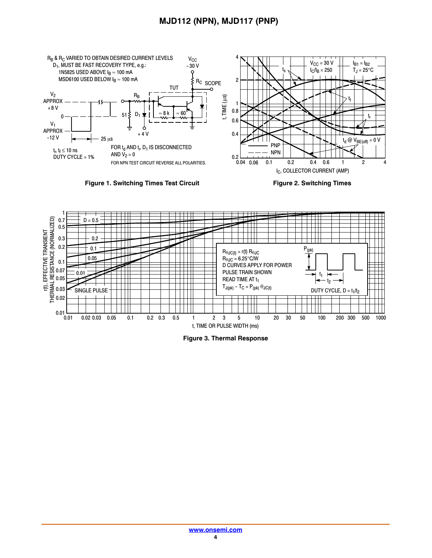





**Figure 3. Thermal Response**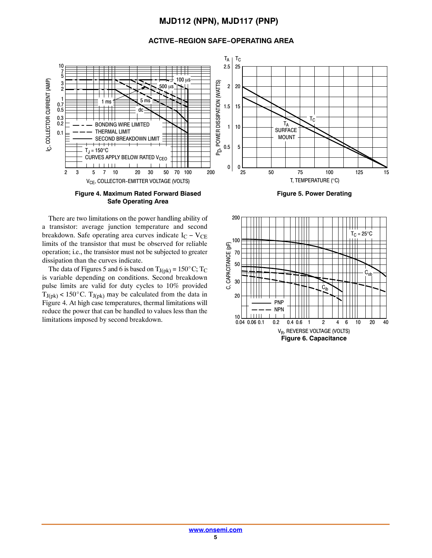#### **ACTIVE−REGION SAFE−OPERATING AREA**



**Figure 4. Maximum Rated Forward Biased Safe Operating Area**



**Figure 5. Power Derating**

There are two limitations on the power handling ability of a transistor: average junction temperature and second breakdown. Safe operating area curves indicate  $I_C - V_{CE}$ limits of the transistor that must be observed for reliable operation; i.e., the transistor must not be subjected to greater dissipation than the curves indicate. Example 1. The data of Figures 5 and 6 is based on  $T_{J(pk)} = 150^{\circ}$  C; T<sub>C</sub>

is variable depending on conditions. Second breakdown pulse limits are valid for duty cycles to 10% provided pulse limits are valid for duty cycles to 10% provided  $T_{J(pk)} < 150^{\circ}$ C.  $T_{J(pk)}$  may be calculated from the data in Figure 4. At high case temperatures, thermal limitations will reduce the power that can be handled to values less than the limitations imposed by second breakdown.

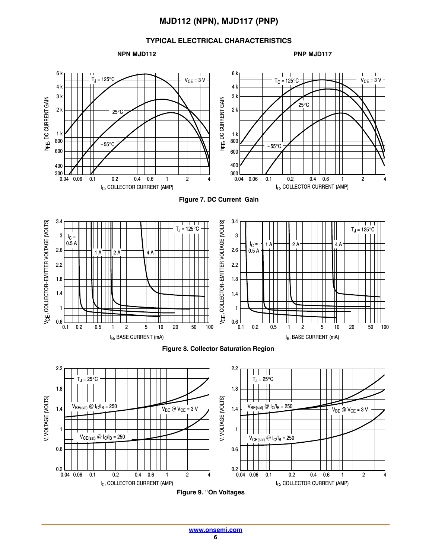#### **TYPICAL ELECTRICAL CHARACTERISTICS**

**NPN MJD112** PNP MJD117









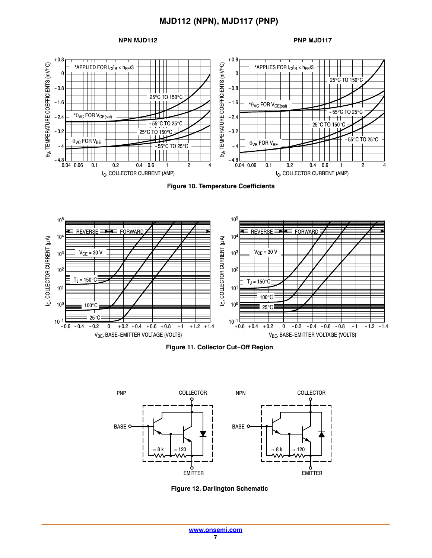#### **NPN MJD112** PNP MJD117











**Figure 12. Darlington Schematic**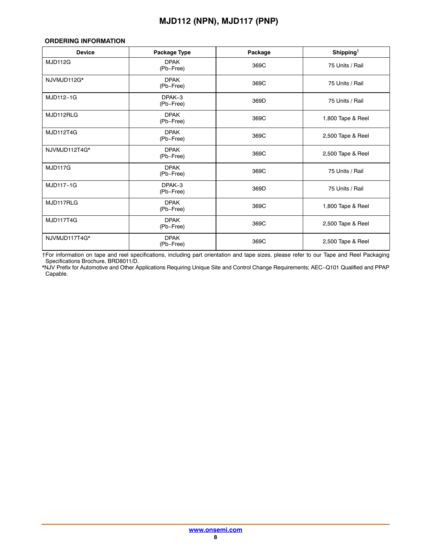#### <span id="page-7-0"></span>**ORDERING INFORMATION**

| <b>Device</b>  | Package Type             | Package | Shipping <sup><math>\dagger</math></sup> |
|----------------|--------------------------|---------|------------------------------------------|
| <b>MJD112G</b> | <b>DPAK</b><br>(Pb-Free) | 369C    | 75 Units / Rail                          |
| NJVMJD112G*    | <b>DPAK</b><br>(Pb-Free) | 369C    | 75 Units / Rail                          |
| MJD112-1G      | DPAK-3<br>(Pb-Free)      | 369D    | 75 Units / Rail                          |
| MJD112RLG      | <b>DPAK</b><br>(Pb-Free) | 369C    | 1,800 Tape & Reel                        |
| MJD112T4G      | <b>DPAK</b><br>(Pb-Free) | 369C    | 2,500 Tape & Reel                        |
| NJVMJD112T4G*  | <b>DPAK</b><br>(Pb-Free) | 369C    | 2,500 Tape & Reel                        |
| <b>MJD117G</b> | <b>DPAK</b><br>(Pb-Free) | 369C    | 75 Units / Rail                          |
| MJD117-1G      | DPAK-3<br>(Pb-Free)      | 369D    | 75 Units / Rail                          |
| MJD117RLG      | <b>DPAK</b><br>(Pb-Free) | 369C    | 1,800 Tape & Reel                        |
| MJD117T4G      | <b>DPAK</b><br>(Pb-Free) | 369C    | 2,500 Tape & Reel                        |
| NJVMJD117T4G*  | <b>DPAK</b><br>(Pb-Free) | 369C    | 2,500 Tape & Reel                        |

†For information on tape and reel specifications, including part orientation and tape sizes, please refer to our Tape and Reel Packaging Specifications Brochure, BRD8011/D.

\*NJV Prefix for Automotive and Other Applications Requiring Unique Site and Control Change Requirements; AEC−Q101 Qualified and PPAP Capable.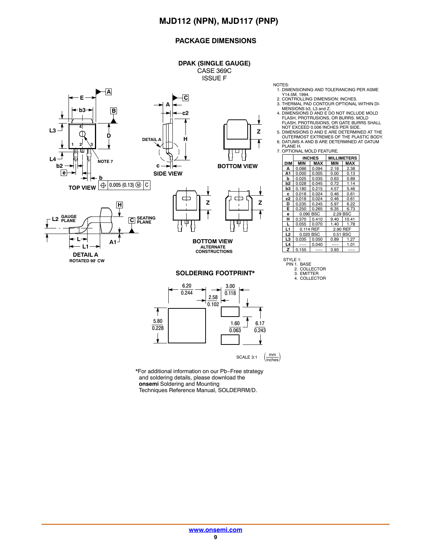#### **PACKAGE DIMENSIONS**



**Z BOTTOM VIEW**



#### **SOLDERING FOOTPRINT\***



\*For additional information on our Pb−Free strategy and soldering details, please download the **onsemi** Soldering and Mounting Techniques Reference Manual, SOLDERRM/D.

- NOTES: 1. DIMENSIONING AND TOLERANCING PER ASME
- Y14.5M, 1994. 2. CONTROLLING DIMENSION: INCHES.
- 3. THERMAL PAD CONTOUR OPTIONAL WITHIN DI-
- MENSIONS b3, L3 and Z.<br>4. DIMENSIONS D AND E DO NOT INCLUDE MOLD<br>FLASH, PROTRUSIONS, OR BURRS. MOLD<br>FLASH, PROTRUSIONS, OR GATE BURRS SHALL NOT EXCEED 0.006 INCHES PER SIDE.
- 5. DIMENSIONS D AND E ARE DETERMINED AT THE OUTERMOST EXTREMES OF THE PLASTIC BODY.
- 6. DATUMS A AND B ARE DETERMINED AT DATUM
- PLANE H. 7. OPTIONAL MOLD FEATURE.

|                | <b>INCHES</b> |       | <b>MILLIMETERS</b> |       |
|----------------|---------------|-------|--------------------|-------|
| DIM            | MIN           | MAX   | MIN                | MAX   |
| А              | 0.086         | 0.094 | 2.18               | 2.38  |
| A <sub>1</sub> | 0.000         | 0.005 | 0.00               | 0.13  |
| b              | 0.025         | 0.035 | 0.63               | 0.89  |
| b2             | 0.028         | 0.045 | 0.72               | 1.14  |
| bЗ             | 0.180         | 0.215 | 4.57               | 5.46  |
| c              | 0.018         | 0.024 | 0.46               | 0.61  |
| c2             | 0.018         | 0.024 | 0.46               | 0.61  |
| D              | 0.235         | 0.245 | 5.97               | 6.22  |
| Е              | 0.250         | 0.265 | 6.35               | 6.73  |
| e              | 0.090 BSC     |       | 2.29 BSC           |       |
| н              | 0.370         | 0.410 | 9.40               | 10.41 |
| L              | 0.055         | 0.070 | 1.40               | 1.78  |
| L1             | 0.114 REF     |       | <b>REF</b><br>2.90 |       |
| L2             | 0.020 BSC     |       | BSC<br>0.51        |       |
| L3             | 0.035         | 0.050 | 0.89               | 1.27  |
| L4             |               | 0.040 |                    | 1.01  |
| z              | 0.155         |       | 3.93               |       |

STYLE 1: PIN 1. BASE

<sup>2.</sup> COLLECTOR 3. EMITTER

<sup>4.</sup> COLLECTOR